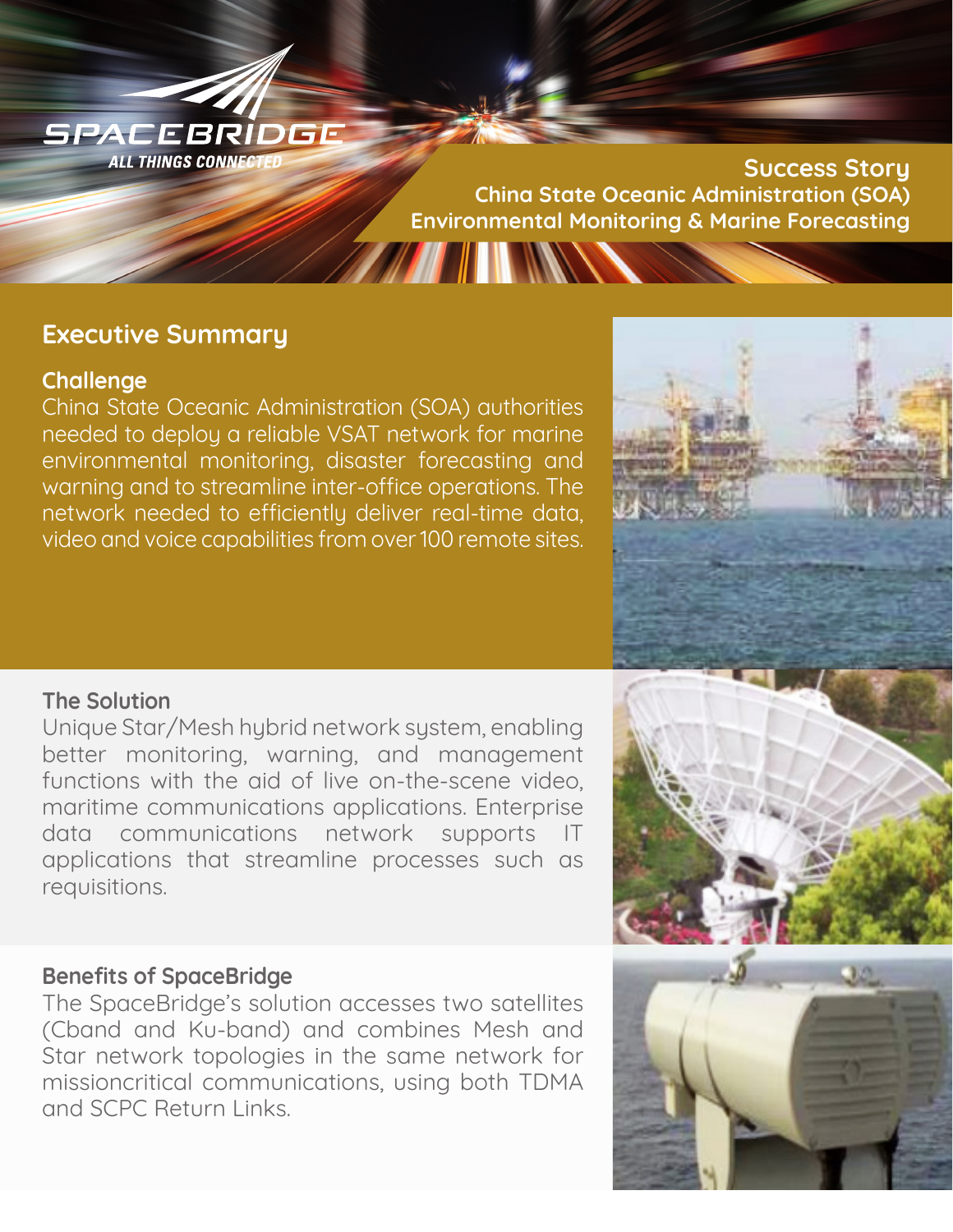SPACEBRIDGE **ALL THINGS CONNECTED** 

**Success Story China State Oceanic Administration (SOA) Environmental Monitoring & Marine ForecastingTHE REAL PROPERTY** 

# **Executive Summary**

# **Challenge**

China State Oceanic Administration (SOA) authorities needed to deploy a reliable VSAT network for marine environmental monitoring, disaster forecasting and warning and to streamline inter-office operations. The network needed to efficiently deliver real-time data, video and voice capabilities from over 100 remote sites.



# **The Solution**

Unique Star/Mesh hybrid network system, enabling better monitoring, warning, and management functions with the aid of live on-the-scene video, maritime communications applications. Enterprise data communications network supports IT applications that streamline processes such as requisitions.

# **Benefits of SpaceBridge**

The SpaceBridge's solution accesses two satellites (Cband and Ku-band) and combines Mesh and Star network topologies in the same network for missioncritical communications, using both TDMA and SCPC Return Links.